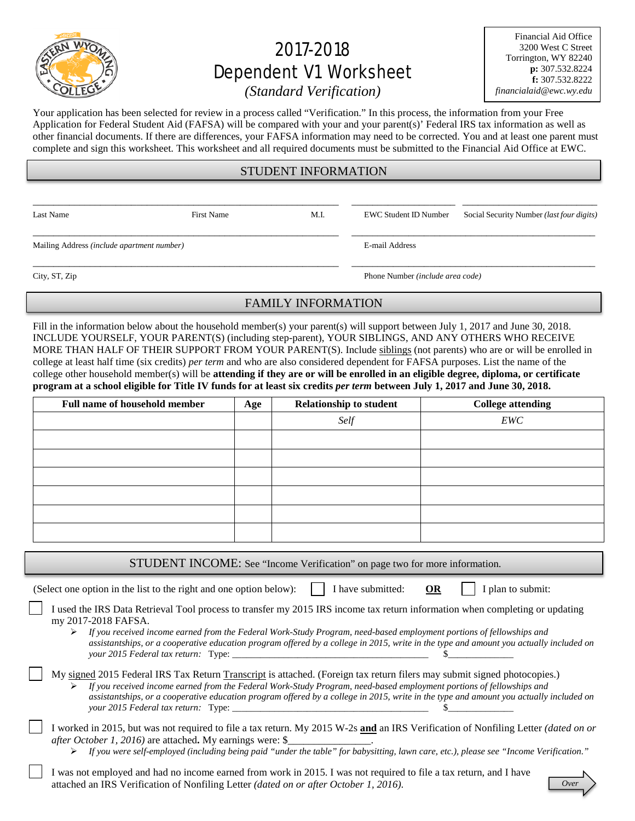

# 2017-2018 Dependent V1 Worksheet

Financial Aid Office 3200 West C Street Torrington, WY 82240 **p:** 307.532.8224 **f:** 307.532.8222 *financialaid@ewc.wy.edu*

## *(Standard Verification)*

Your application has been selected for review in a process called "Verification." In this process, the information from your Free Application for Federal Student Aid (FAFSA) will be compared with your and your parent(s)' Federal IRS tax information as well as other financial documents. If there are differences, your FAFSA information may need to be corrected. You and at least one parent must complete and sign this worksheet. This worksheet and all required documents must be submitted to the Financial Aid Office at EWC.

## STUDENT INFORMATION

\_\_\_\_\_\_\_\_\_\_\_\_\_\_\_\_\_\_\_\_\_\_\_\_\_\_\_\_\_\_\_\_\_\_\_\_\_\_\_\_\_\_\_\_\_\_\_\_\_\_\_\_\_\_\_\_\_\_\_ \_\_\_\_\_\_\_\_\_\_\_\_\_\_\_\_\_\_\_\_ \_\_\_\_\_\_\_\_\_\_\_\_\_\_\_\_\_\_\_\_\_\_\_\_\_\_

\_\_\_\_\_\_\_\_\_\_\_\_\_\_\_\_\_\_\_\_\_\_\_\_\_\_\_\_\_\_\_\_\_\_\_\_\_\_\_\_\_\_\_\_\_\_\_\_\_\_\_\_\_\_\_\_\_\_\_ \_\_\_\_\_\_\_\_\_\_\_\_\_\_\_\_\_\_\_\_\_\_\_\_\_\_\_\_\_\_\_\_\_\_\_\_\_\_\_\_\_\_\_\_\_\_\_

\_\_\_\_\_\_\_\_\_\_\_\_\_\_\_\_\_\_\_\_\_\_\_\_\_\_\_\_\_\_\_\_\_\_\_\_\_\_\_\_\_\_\_\_\_\_\_\_\_\_\_\_\_\_\_\_\_\_\_ \_\_\_\_\_\_\_\_\_\_\_\_\_\_\_\_\_\_\_\_\_\_\_\_\_\_\_\_\_\_\_\_\_\_\_\_\_\_\_\_\_\_\_\_\_\_\_

Mailing Address *(include apartment number)* E-mail Address

Last Name First Name First Name M.I. EWC Student ID Number Social Security Number *(last four digits)* 

City, ST, Zip Phone Number *(include area code)*

## FAMILY INFORMATION

Fill in the information below about the household member(s) your parent(s) will support between July 1, 2017 and June 30, 2018. INCLUDE YOURSELF, YOUR PARENT(S) (including step-parent), YOUR SIBLINGS, AND ANY OTHERS WHO RECEIVE MORE THAN HALF OF THEIR SUPPORT FROM YOUR PARENT(S). Include siblings (not parents) who are or will be enrolled in college at least half time (six credits) *per term* and who are also considered dependent for FAFSA purposes. List the name of the college other household member(s) will be **attending if they are or will be enrolled in an eligible degree, diploma, or certificate program at a school eligible for Title IV funds for at least six credits** *per term* **between July 1, 2017 and June 30, 2018.**

| <b>Full name of household member</b> | Age | <b>Relationship to student</b> | <b>College attending</b> |  |
|--------------------------------------|-----|--------------------------------|--------------------------|--|
|                                      |     | Self                           | EWC                      |  |
|                                      |     |                                |                          |  |
|                                      |     |                                |                          |  |
|                                      |     |                                |                          |  |
|                                      |     |                                |                          |  |
|                                      |     |                                |                          |  |
|                                      |     |                                |                          |  |

STUDENT INCOME: See "Income Verification" on page two for more information.

(Select one option in the list to the right and one option below):  $\|\cdot\|$  have submitted: **OR**  $\|\cdot\|$  plan to submit:

| I used the IRS Data Retrieval Tool process to transfer my 2015 IRS income tax return information when completing or updating |  |
|------------------------------------------------------------------------------------------------------------------------------|--|
| my 2017-2018 FAFSA.                                                                                                          |  |

 *If you received income earned from the Federal Work-Study Program, need-based employment portions of fellowships and assistantships, or a cooperative education program offered by a college in 2015, write in the type and amount you actually included on your* 2015 Federal tax return: Type:

#### My signed 2015 Federal IRS Tax Return Transcript is attached. (Foreign tax return filers may submit signed photocopies.) *If you received income earned from the Federal Work-Study Program, need-based employment portions of fellowships and assistantships, or a cooperative education program offered by a college in 2015, write in the type and amount you actually included on your 2015 Federal tax return:* Type: \_\_\_\_\_\_\_\_\_\_\_\_\_\_\_\_\_\_\_\_\_\_\_\_\_\_\_\_\_\_\_\_\_\_\_\_\_\_\_\_\_\_ \$\_\_\_\_\_\_\_\_\_\_\_\_\_\_

- I worked in 2015, but was not required to file a tax return. My 2015 W-2s **and** an IRS Verification of Nonfiling Letter *(dated on or after October 1, 2016*) are attached. My earnings were: \$
	- *If you were self-employed (including being paid "under the table" for babysitting, lawn care, etc.), please see "Income Verification."*
- I was not employed and had no income earned from work in 2015. I was not required to file a tax return, and I have attached an IRS Verification of Nonfiling Letter *(dated on or after October 1, 2016)*.